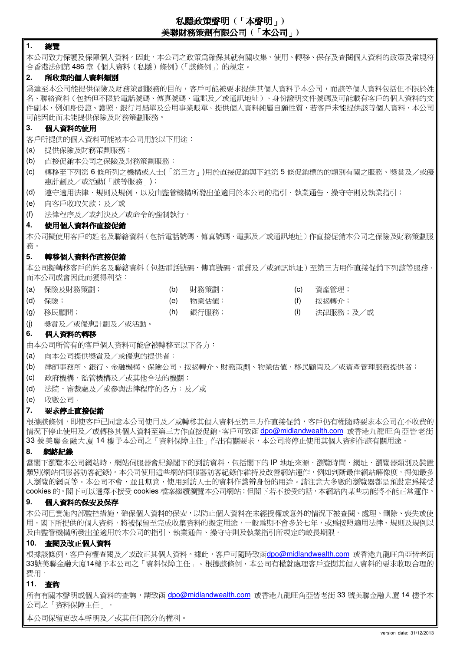# 私隱政策聲明 **(**「本聲明」**)**  美聯財務策劃有限公司 **(**「本公司」**)**

## **1.** 總覽

本公司致力保護及保障個人資料。因此,本公司之政策為確保其就有關收集、使用、轉移、保存及查閱個人資料的政策及常規符 合香港法例第 486 章《個人資料(私隱)條例》(「該條例」)的規定。

## **2.** 所收集的個人資料類別

為達至本公司能提供保險及財務策劃服務的目的,客戶可能被要求提供其個人資料予本公司,而該等個人資料包括但不限於姓 名、聯絡資料(包括但不限於電話號碼、傳真號碼、電郵及/或通訊地址)、身份證明文件號碼及可能載有客戶的個人資料的文 件副本,例如身份證、護照、銀行月結單及公用事業賬單。提供個人資料純屬自願性質,若客戶未能提供該等個人資料,本公司 可能因此而未能提供保險及財務策劃服務。

# **3.** 個人資料的使用

客戶所提供的個人資料可能被本公司用於以下用途:

- (a) 提供保險及財務策劃服務;
- (b) 直接促銷本公司之保險及財務策劃服務;
- (c) 轉移至下列第 6 條所列之機構或人士(「第三方」)用於直接促銷與下述第 5 條促銷標的的類別有關之服務、獎賞及/或優 惠計劃及/或活動(「該等服務」);
- (d) 遵守適用法律、規則及規例,以及由監管機構所發出並適用於本公司的指引、執業通告、操守守則及執業指引;
- (e) 向客戶收取欠款;及/或
- (f) 法律程序及/或判決及/或命令的強制執行。

## **4.** 使用個人資料作直接促銷

本公司擬使用客戶的姓名及聯絡資料(包括電話號碼、傳真號碼、電郵及/或通訊地址)作直接促銷本公司之保險及財務策劃服 務。

## **5.** 轉移個人資料作直接促銷

本公司擬轉移客戶的姓名及聯絡資料(包括電話號碼、傳真號碼、電郵及/或通訊地址)至第三方用作直接促銷下列該等服務, 而本公司或會因此而獲得利益:

- (a) 保險及財務策劃; (b) 財務策劃; (c) 資產管理;
	- -
- 
- (d) 保險; (e) 物業估值; (f) 按揭轉介;
- (g) 移民顧問; (h) 銀行服務; (i) 法律服務;及/或
- (j) 獎賞及/或優惠計劃及/或活動。

# **6.** 個人資料的轉移

由本公司所管有的客戶個人資料可能會被轉移至以下各方:

- (a) 向本公司提供獎賞及/或優惠的提供者;
- (b) 律師事務所、銀行、金融機構、保險公司、按揭轉介、財務策劃、物業估值、移民顧問及/或資產管理服務提供者;
- (c) 政府機構、監管機構及/或其他合法的機關;
- (d) 法院、審裁處及/或參與法律程序的各方;及/或
- (e) 收數公司。

# **7.** 要求停止直接促銷

根據該條例,即使客戶已同意本公司使用及/或轉移其個人資料至第三方作直接促銷,客戶仍有權隨時要求本公司在不收費的 情況下停止使用及/或轉移其個人資料至第三方作直接促銷。客戶可致函 dpo@midlandwealth.com 或香港九龍旺角亞皆老街 33 號美聯金融大廈 14 樓予本公司之「資料保障主任」作出有關要求,本公司將停止使用其個人資料作該有關用途。

## **8.** 網絡紀錄

當閣下瀏覽本公司網站時,網站伺服器會紀錄閣下的到訪資料,包括閣下的 IP 地址來源、瀏覽時間、網址、瀏覽器類別及裝置 類別(網站伺服器訪客紀錄)。本公司使用這些網站伺服器訪客紀錄作維持及改善網站運作,例如判斷最佳網站解像度,得知最多 人瀏覽的網頁等。本公司不會,並且無意,使用到訪人士的資料作識辨身份的用途。請注意大多數的瀏覽器都是預設定為接受 cookies 的。閣下可以選擇不接受 cookies 檔案繼續瀏覽本公司網站;但閣下若不接受的話,本網站內某些功能將不能正常運作。

# **9.** 個人資料的保安及保存

本公司已實施內部監控措施,確保個人資料的保安,以防止個人資料在未經授權或意外的情況下被查閱、處理、刪除、喪失或使 用。閣下所提供的個人資料,將被保留至完成收集資料的擬定用途,一般為期不會多於七年,或為按照適用法律、規則及規例以 及由監管機構所發出並適用於本公司的指引、執業通告、操守守則及執業指引所規定的較長期限。

## **10.** 查閱及改正個人資料

根據該條例,客戶有權查閱及/或改正其個人資料。據此,客戶可隨時致函dpo@midlandwealth.com 或香港九龍旺角亞皆老街 33號美聯金融大廈14樓予本公司之「資料保障主任」。根據該條例,本公司有權就處理客戶查閱其個人資料的要求收取合理的 費用。

# **11.** 查詢

所有有關本聲明或個人資料的查詢,請致函 dpo@midlandwealth.com 或香港九龍旺角亞皆老街 33 號美聯金融大廈 14 樓予本 公司之「資料保障主任」。

本公司保留更改本聲明及/或其任何部分的權利。